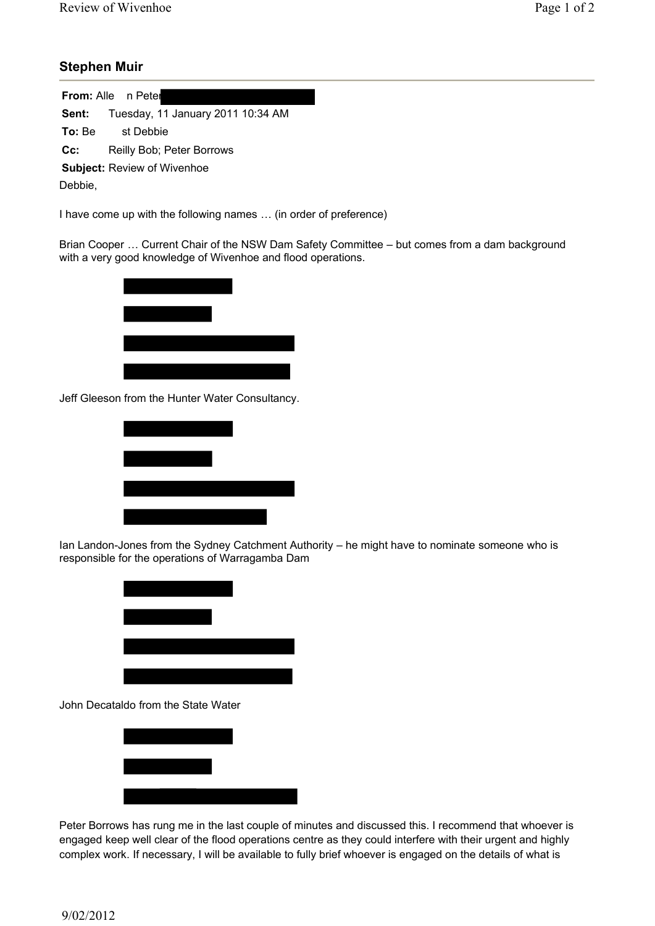## **Stephen Muir**

**From:** Alle n Peter **Sent:** Tuesday, 11 January 2011 10:34 AM **To:** Be st Debbie **Cc:** Reilly Bob; Peter Borrows **Subject:** Review of Wivenhoe Debbie,

I have come up with the following names … (in order of preference)

Brian Cooper … Current Chair of the NSW Dam Safety Committee – but comes from a dam background with a very good knowledge of Wivenhoe and flood operations.



Jeff Gleeson from the Hunter Water Consultancy.



Ian Landon-Jones from the Sydney Catchment Authority – he might have to nominate someone who is responsible for the operations of Warragamba Dam



John Decataldo from the State Water



Peter Borrows has rung me in the last couple of minutes and discussed this. I recommend that whoever is engaged keep well clear of the flood operations centre as they could interfere with their urgent and highly complex work. If necessary, I will be available to fully brief whoever is engaged on the details of what is